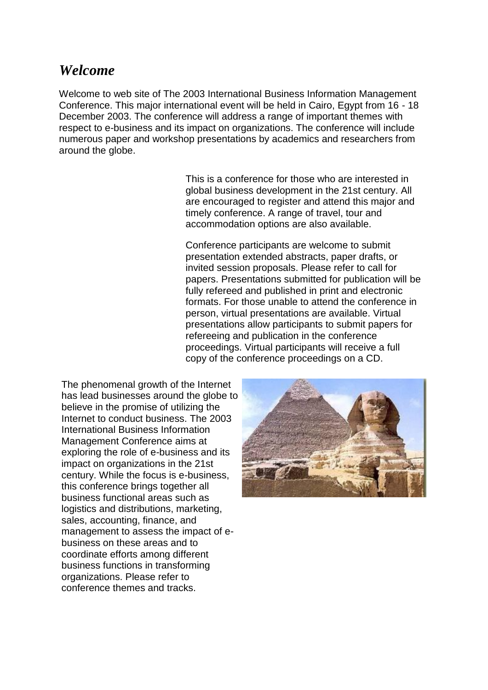# *Welcome*

Welcome to web site of The 2003 International Business Information Management Conference. This major international event will be held in Cairo, Egypt from 16 - 18 December 2003. The conference will address a range of important themes with respect to e-business and its impact on organizations. The conference will include numerous paper and workshop presentations by academics and researchers from around the globe.

> This is a conference for those who are interested in global business development in the 21st century. All are encouraged to register and attend this major and timely conference. A range of travel, tour and accommodation options are also available.

Conference participants are welcome to submit presentation extended abstracts, paper drafts, or invited session proposals. Please refer to call for papers. Presentations submitted for publication will be fully refereed and published in print and electronic formats. For those unable to attend the conference in person, virtual presentations are available. Virtual presentations allow participants to submit papers for refereeing and publication in the conference proceedings. Virtual participants will receive a full copy of the conference proceedings on a CD.

The phenomenal growth of the Internet has lead businesses around the globe to believe in the promise of utilizing the Internet to conduct business. The 2003 International Business Information Management Conference aims at exploring the role of e-business and its impact on organizations in the 21st century. While the focus is e-business, this conference brings together all business functional areas such as logistics and distributions, marketing, sales, accounting, finance, and management to assess the impact of ebusiness on these areas and to coordinate efforts among different business functions in transforming organizations. Please refer to conference themes and tracks.

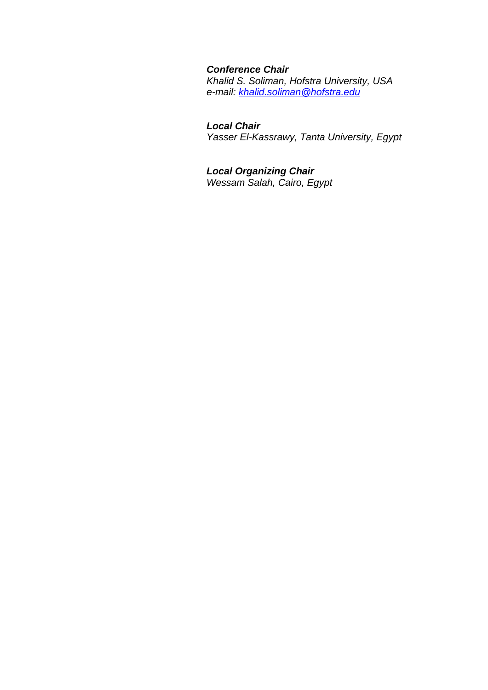# *Conference Chair*

*Khalid S. Soliman, Hofstra University, USA e-mail: [khalid.soliman@hofstra.edu](mailto:khalid.soliman@hofstra.edu)*

# *Local Chair*

*Yasser El-Kassrawy, Tanta University, Egypt*

# *Local Organizing Chair*

*Wessam Salah, Cairo, Egypt*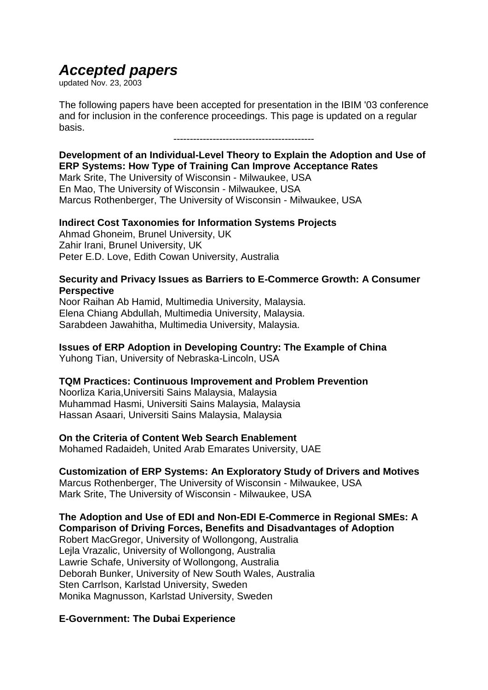# *Accepted papers*

updated Nov. 23, 2003

The following papers have been accepted for presentation in the IBIM '03 conference and for inclusion in the conference proceedings. This page is updated on a regular basis.

-------------------------------------------

# **Development of an Individual-Level Theory to Explain the Adoption and Use of ERP Systems: How Type of Training Can Improve Acceptance Rates**

Mark Srite, The University of Wisconsin - Milwaukee, USA En Mao, The University of Wisconsin - Milwaukee, USA Marcus Rothenberger, The University of Wisconsin - Milwaukee, USA

## **Indirect Cost Taxonomies for Information Systems Projects**

Ahmad Ghoneim, Brunel University, UK Zahir Irani, Brunel University, UK Peter E.D. Love, Edith Cowan University, Australia

# **Security and Privacy Issues as Barriers to E-Commerce Growth: A Consumer Perspective**

Noor Raihan Ab Hamid, Multimedia University, Malaysia. Elena Chiang Abdullah, Multimedia University, Malaysia. Sarabdeen Jawahitha, Multimedia University, Malaysia.

# **Issues of ERP Adoption in Developing Country: The Example of China**

Yuhong Tian, University of Nebraska-Lincoln, USA

## **TQM Practices: Continuous Improvement and Problem Prevention**

Noorliza Karia,Universiti Sains Malaysia, Malaysia Muhammad Hasmi, Universiti Sains Malaysia, Malaysia Hassan Asaari, Universiti Sains Malaysia, Malaysia

## **On the Criteria of Content Web Search Enablement**

Mohamed Radaideh, United Arab Emarates University, UAE

# **Customization of ERP Systems: An Exploratory Study of Drivers and Motives**

Marcus Rothenberger, The University of Wisconsin - Milwaukee, USA Mark Srite, The University of Wisconsin - Milwaukee, USA

# **The Adoption and Use of EDI and Non-EDI E-Commerce in Regional SMEs: A Comparison of Driving Forces, Benefits and Disadvantages of Adoption**

Robert MacGregor, University of Wollongong, Australia Lejla Vrazalic, University of Wollongong, Australia Lawrie Schafe, University of Wollongong, Australia Deborah Bunker, University of New South Wales, Australia Sten Carrlson, Karlstad University, Sweden Monika Magnusson, Karlstad University, Sweden

# **E-Government: The Dubai Experience**